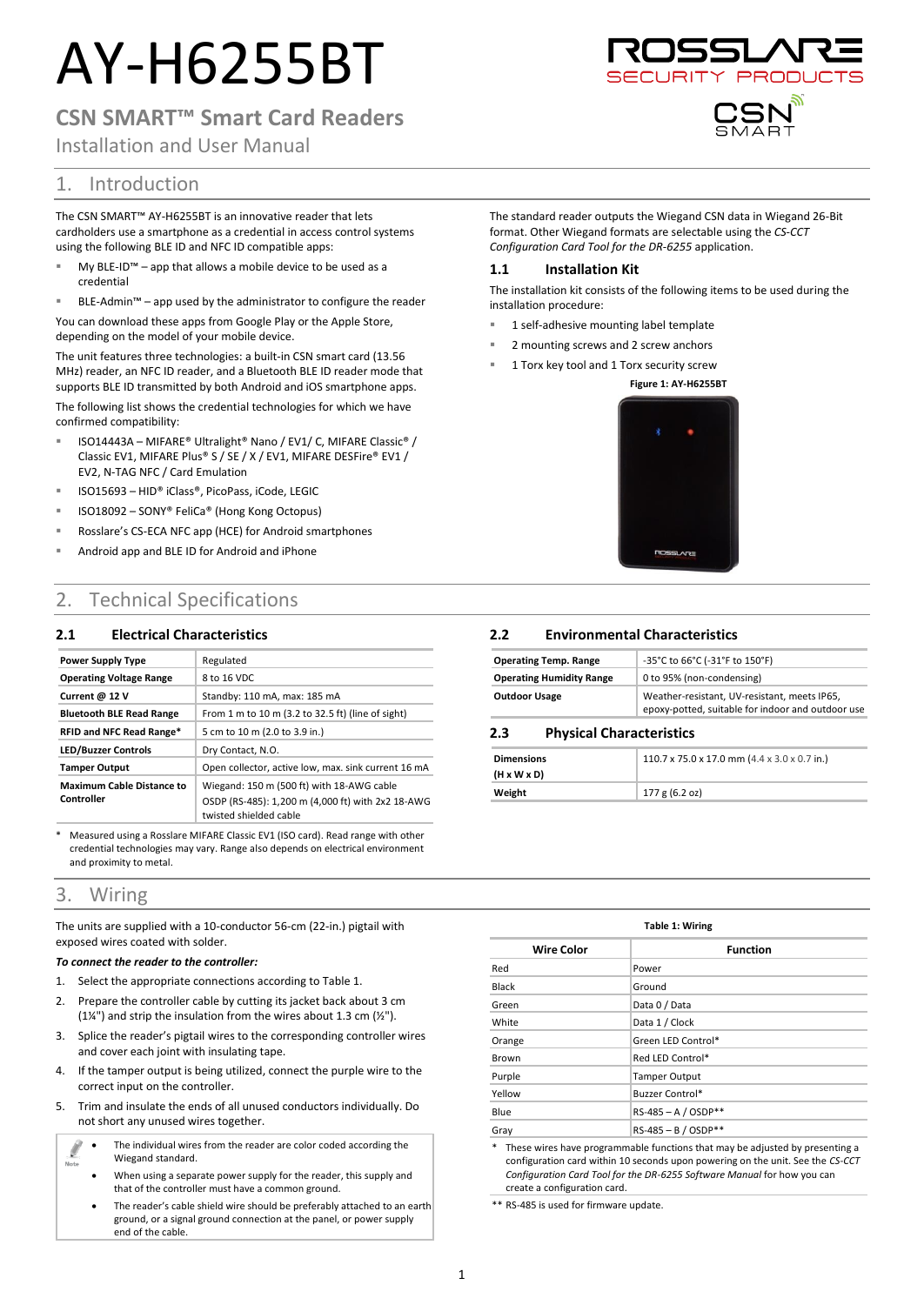# AY-H6255BT

# **CSN SMART™ Smart Card Readers**

Installation and User Manual

# 1. Introduction

The CSN SMART™ AY-H6255BT is an innovative reader that lets cardholders use a smartphone as a credential in access control systems using the following BLE ID and NFC ID compatible apps:

- My BLE-ID™ app that allows a mobile device to be used as a credential
- BLE-Admin<sup>™</sup> app used by the administrator to configure the reader

You can download these apps from Google Play or the Apple Store, depending on the model of your mobile device.

The unit features three technologies: a built-in CSN smart card (13.56 MHz) reader, an NFC ID reader, and a Bluetooth BLE ID reader mode that supports BLE ID transmitted by both Android and iOS smartphone apps.

The following list shows the credential technologies for which we have confirmed compatibility:

- ISO14443A MIFARE® Ultralight® Nano / EV1/ C, MIFARE Classic® / Classic EV1, MIFARE Plus® S / SE / X / EV1, MIFARE DESFire® EV1 / EV2, N-TAG NFC / Card Emulation
- ISO15693 HID® iClass®, PicoPass, iCode, LEGIC
- ISO18092 SONY® FeliCa® (Hong Kong Octopus)
- Rosslare's CS-ECA NFC app (HCE) for Android smartphones
- Android app and BLE ID for Android and iPhone

# 2. Technical Specifications

## **2.1 Electrical Characteristics**

| <b>Power Supply Type</b>         | Regulated                                                                   |  |
|----------------------------------|-----------------------------------------------------------------------------|--|
| <b>Operating Voltage Range</b>   | 8 to 16 VDC                                                                 |  |
| Current @ 12 V                   | Standby: 110 mA, max: 185 mA                                                |  |
| <b>Bluetooth BLE Read Range</b>  | From 1 m to 10 m $(3.2$ to 32.5 ft) (line of sight)                         |  |
| RFID and NFC Read Range*         | 5 cm to 10 m (2.0 to 3.9 in.)                                               |  |
| <b>LED/Buzzer Controls</b>       | Dry Contact, N.O.                                                           |  |
| <b>Tamper Output</b>             | Open collector, active low, max. sink current 16 mA                         |  |
| <b>Maximum Cable Distance to</b> | Wiegand: 150 m (500 ft) with 18-AWG cable                                   |  |
| Controller                       | OSDP (RS-485): 1,200 m (4,000 ft) with 2x2 18-AWG<br>twisted shielded cable |  |

Measured using a Rosslare MIFARE Classic EV1 (ISO card). Read range with other credential technologies may vary. Range also depends on electrical environment and proximity to metal.

## 3. Wiring

The units are supplied with a 10-conductor 56-cm (22-in.) pigtail with exposed wires coated with solder.

#### *To connect the reader to the controller:*

- 1. Select the appropriate connections according t[o Table 1.](#page-0-0)
- 2. Prepare the controller cable by cutting its jacket back about 3 cm (1¼") and strip the insulation from the wires about 1.3 cm ( $\frac{1}{2}$ ").
- 3. Splice the reader's pigtail wires to the corresponding controller wires and cover each joint with insulating tape.
- 4. If the tamper output is being utilized, connect the purple wire to the correct input on the controller.
- 5. Trim and insulate the ends of all unused conductors individually. Do not short any unused wires together.
	- The individual wires from the reader are color coded according the A Wiegand standard.
		- When using a separate power supply for the reader, this supply and that of the controller must have a common ground.
		- The reader's cable shield wire should be preferably attached to an earth ground, or a signal ground connection at the panel, or power supply end of the cable.



#### **1.1 Installation Kit**

The installation kit consists of the following items to be used during the installation procedure:

- 1 self-adhesive mounting label template
- 2 mounting screws and 2 screw anchors
- 1 Torx key tool and 1 Torx security screw

## **Figure 1: AY-H6255BT**



## **2.2 Environmental Characteristics**

| <b>Operating Temp. Range</b>    | -35°C to 66°C (-31°F to 150°F)                                                                    |  |
|---------------------------------|---------------------------------------------------------------------------------------------------|--|
| <b>Operating Humidity Range</b> | 0 to 95% (non-condensing)                                                                         |  |
| <b>Outdoor Usage</b>            | Weather-resistant, UV-resistant, meets IP65,<br>epoxy-potted, suitable for indoor and outdoor use |  |

## **2.3 Physical Characteristics**

| <b>Dimensions</b><br>$(H \times W \times D)$ | 110.7 x 75.0 x 17.0 mm (4.4 x 3.0 x 0.7 in.) |
|----------------------------------------------|----------------------------------------------|
| Weight                                       | 177 g (6.2 oz)                               |

<span id="page-0-0"></span>

| Table 1: Wiring   |                       |  |  |
|-------------------|-----------------------|--|--|
| <b>Wire Color</b> | <b>Function</b>       |  |  |
| Red               | Power                 |  |  |
| Black             | Ground                |  |  |
| Green             | Data 0 / Data         |  |  |
| White             | Data 1 / Clock        |  |  |
| Orange            | Green LED Control*    |  |  |
| Brown             | Red LED Control*      |  |  |
| Purple            | <b>Tamper Output</b>  |  |  |
| Yellow            | Buzzer Control*       |  |  |
| Blue              | $RS-485 - A / OSDP**$ |  |  |
| Gray              | $RS-485 - B / OSDP**$ |  |  |

These wires have programmable functions that may be adjusted by presenting a configuration card within 10 seconds upon powering on the unit. See the *CS-CCT Configuration Card Tool for the DR-6255 Software Manual* for how you can create a configuration card.

\*\* RS-485 is used for firmware update.

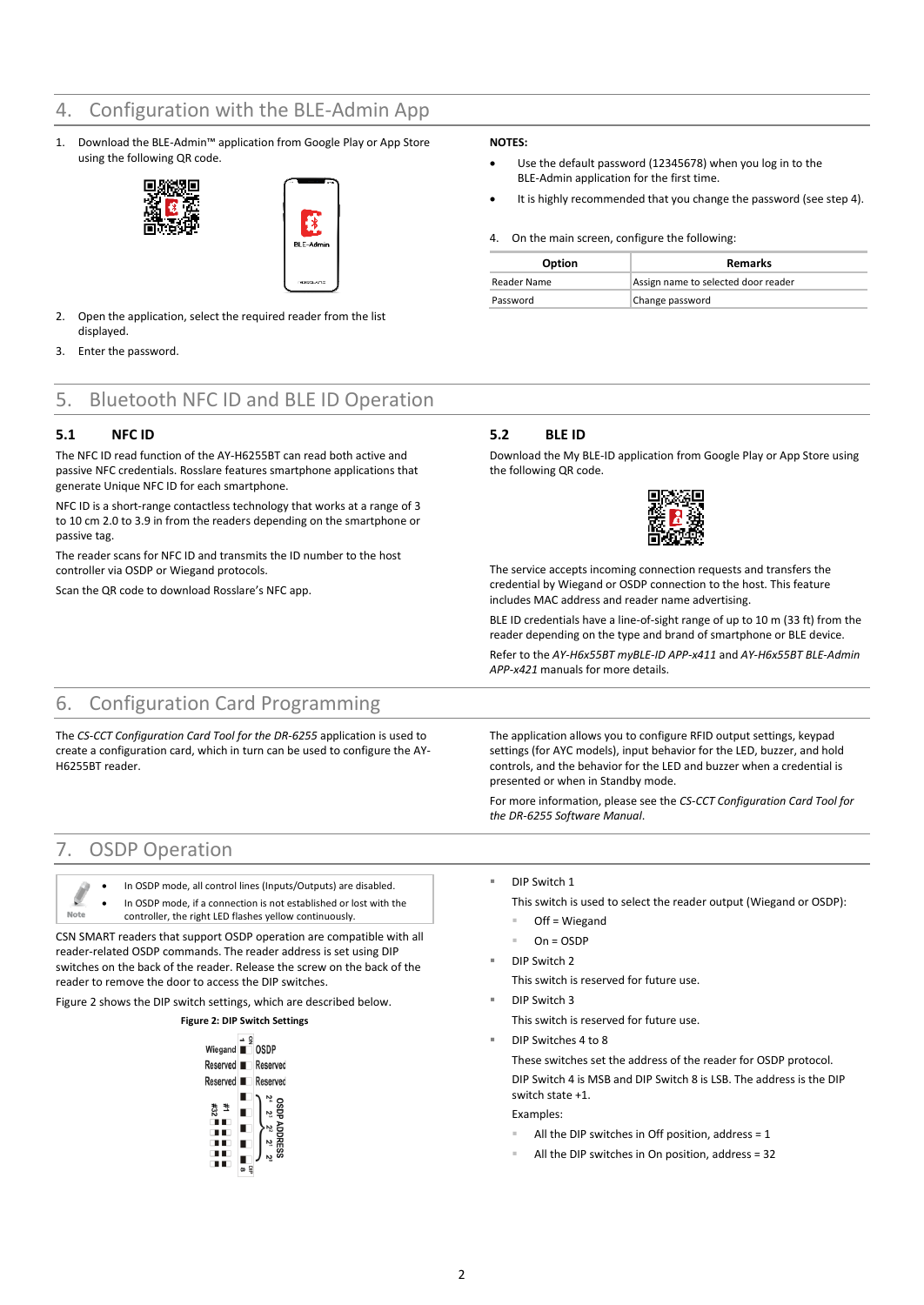# 4. Configuration with the BLE-Admin App

1. Download the BLE-Admin™ application from Google Play or App Store using the following QR code.





- 2. Open the application, select the required reader from the list displayed.
- 3. Enter the password.

# 5. Bluetooth NFC ID and BLE ID Operation

## **5.1 NFC ID**

The NFC ID read function of the AY-H6255BT can read both active and passive NFC credentials. Rosslare features smartphone applications that generate Unique NFC ID for each smartphone.

NFC ID is a short-range contactless technology that works at a range of 3 to 10 cm 2.0 to 3.9 in from the readers depending on the smartphone or passive tag.

The reader scans for NFC ID and transmits the ID number to the host controller via OSDP or Wiegand protocols.

Scan the QR code to download Rosslare's NFC app.

#### **NOTES:**

- Use the default password (12345678) when you log in to the BLE-Admin application for the first time.
- It is highly recommended that you change the password (see step 4).

#### 4. On the main screen, configure the following:

| <b>Option</b> | <b>Remarks</b>                      |  |
|---------------|-------------------------------------|--|
| Reader Name   | Assign name to selected door reader |  |
| Password      | Change password                     |  |

#### **5.2 BLE ID**

Download the My BLE-ID application from Google Play or App Store using the following QR code.



The service accepts incoming connection requests and transfers the credential by Wiegand or OSDP connection to the host. This feature includes MAC address and reader name advertising.

BLE ID credentials have a line-of-sight range of up to 10 m (33 ft) from the reader depending on the type and brand of smartphone or BLE device.

Refer to the *AY-H6x55BT myBLE-ID APP-x411* and *AY-H6x55BT BLE-Admin APP-x421* manuals for more details.

# 6. Configuration Card Programming

The *CS-CCT Configuration Card Tool for the DR-6255* application is used to create a configuration card, which in turn can be used to configure the AY-H6255BT reader.

The application allows you to configure RFID output settings, keypad settings (for AYC models), input behavior for the LED, buzzer, and hold controls, and the behavior for the LED and buzzer when a credential is presented or when in Standby mode.

For more information, please see the *CS-CCT Configuration Card Tool for the DR-6255 Software Manual*.

## 7. OSDP Operation

Note

- In OSDP mode, all control lines (Inputs/Outputs) are disabled
	- In OSDP mode, if a connection is not established or lost with the controller, the right LED flashes yellow continuously.

CSN SMART readers that support OSDP operation are compatible with all reader-related OSDP commands. The reader address is set using DIP switches on the back of the reader. Release the screw on the back of the reader to remove the door to access the DIP switches.

<span id="page-1-0"></span>[Figure 2](#page-1-0) shows the DIP switch settings, which are described below.

## **Figure 2: DIP Switch Settings**



- DIP Switch 1
	- This switch is used to select the reader output (Wiegand or OSDP):
	- $Off = Wiegand$
	- $On = OSDF$
	- DIP Switch 2
		- This switch is reserved for future use.
- DIP Switch 3

This switch is reserved for future use.

DIP Switches 4 to 8

These switches set the address of the reader for OSDP protocol. DIP Switch 4 is MSB and DIP Switch 8 is LSB. The address is the DIP switch state +1.

Examples:

- All the DIP switches in Off position, address =  $1$
- All the DIP switches in On position, address = 32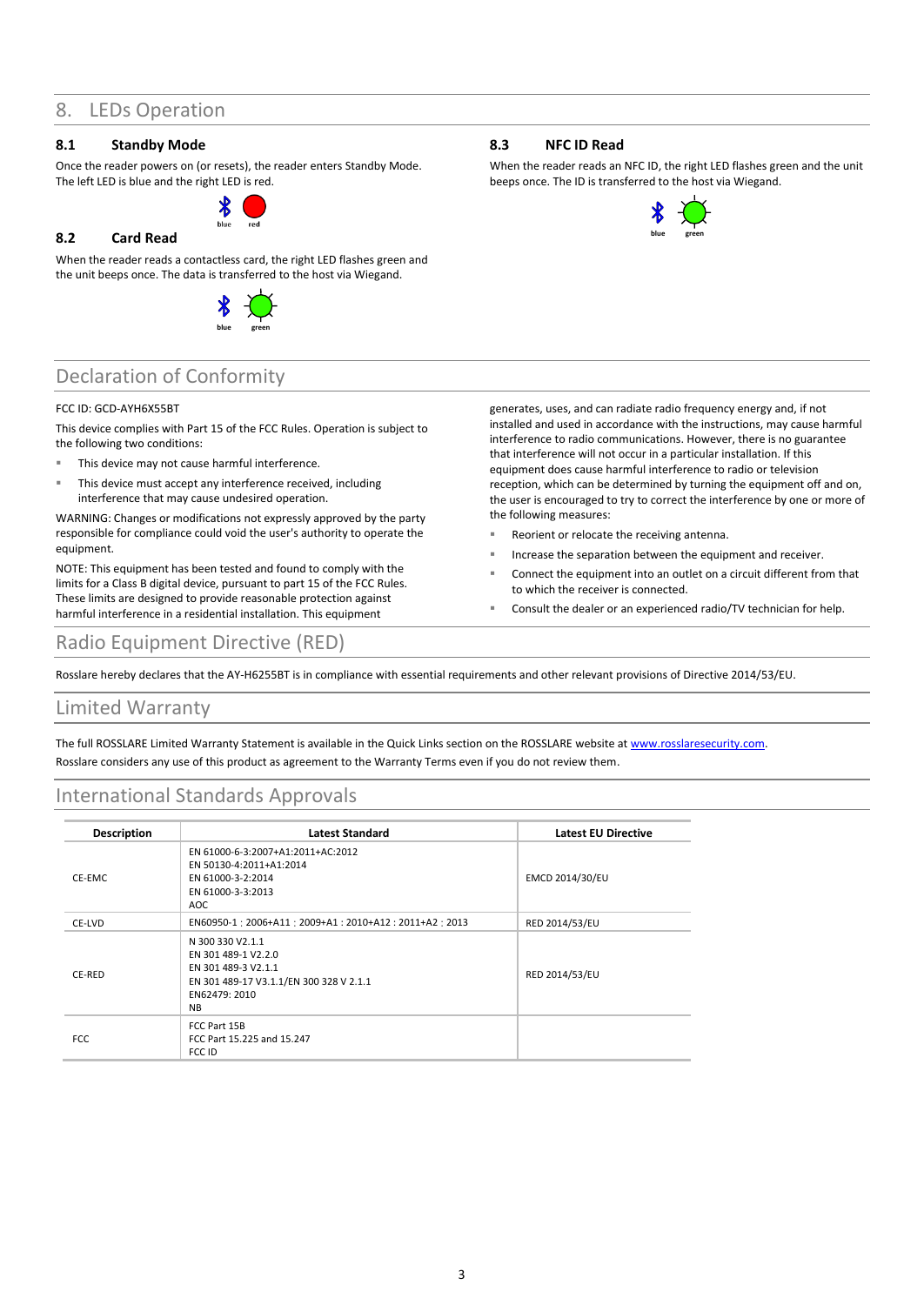## 8. LEDs Operation

## **8.1 Standby Mode**

Once the reader powers on (or resets), the reader enters Standby Mode. The left LED is blue and the right LED is red.



## **8.2 Card Read**

When the reader reads a contactless card, the right LED flashes green and the unit beeps once. The data is transferred to the host via Wiegand.



# Declaration of Conformity

#### FCC ID: GCD-AYH6X55BT

This device complies with Part 15 of the FCC Rules. Operation is subject to the following two conditions:

- This device may not cause harmful interference.
- This device must accept any interference received, including interference that may cause undesired operation.

WARNING: Changes or modifications not expressly approved by the party responsible for compliance could void the user's authority to operate the equipment.

NOTE: This equipment has been tested and found to comply with the limits for a Class B digital device, pursuant to part 15 of the FCC Rules. These limits are designed to provide reasonable protection against harmful interference in a residential installation. This equipment

# Radio Equipment Directive (RED)

reception, which can be determined by turning the equipment off and on, the user is encouraged to try to correct the interference by one or more of the following measures: Reorient or relocate the receiving antenna. Increase the separation between the equipment and receiver.

generates, uses, and can radiate radio frequency energy and, if not installed and used in accordance with the instructions, may cause harmful interference to radio communications. However, there is no guarantee that interference will not occur in a particular installation. If this equipment does cause harmful interference to radio or television

- Connect the equipment into an outlet on a circuit different from that to which the receiver is connected.
- Consult the dealer or an experienced radio/TV technician for help.

#### Rosslare hereby declares that the AY-H6255BT is in compliance with essential requirements and other relevant provisions of Directive 2014/53/EU.

# Limited Warranty

The full ROSSLARE Limited Warranty Statement is available in the Quick Links section on the ROSSLARE website a[t www.rosslaresecurity.com.](http://www.rosslaresecurity.com/) Rosslare considers any use of this product as agreement to the Warranty Terms even if you do not review them.

# International Standards Approvals

| <b>Description</b> | <b>Latest Standard</b>                                                                                                                  | <b>Latest EU Directive</b> |
|--------------------|-----------------------------------------------------------------------------------------------------------------------------------------|----------------------------|
|                    |                                                                                                                                         |                            |
| CE-EMC             | EN 61000-6-3:2007+A1:2011+AC:2012<br>EN 50130-4:2011+A1:2014<br>EN 61000-3-2:2014<br>EN 61000-3-3:2013<br>AOC                           | EMCD 2014/30/EU            |
| CE-LVD             | EN60950-1:2006+A11:2009+A1:2010+A12:2011+A2:2013                                                                                        | RED 2014/53/EU             |
| CE-RED             | N 300 330 V2.1.1<br>EN 301 489-1 V2.2.0<br>EN 301 489-3 V2.1.1<br>EN 301 489-17 V3.1.1/EN 300 328 V 2.1.1<br>EN62479: 2010<br><b>NB</b> | RED 2014/53/EU             |
| FCC.               | FCC Part 15B<br>FCC Part 15, 225 and 15, 247<br>FCC ID                                                                                  |                            |

## **8.3 NFC ID Read**

When the reader reads an NFC ID, the right LED flashes green and the unit beeps once. The ID is transferred to the host via Wiegand.